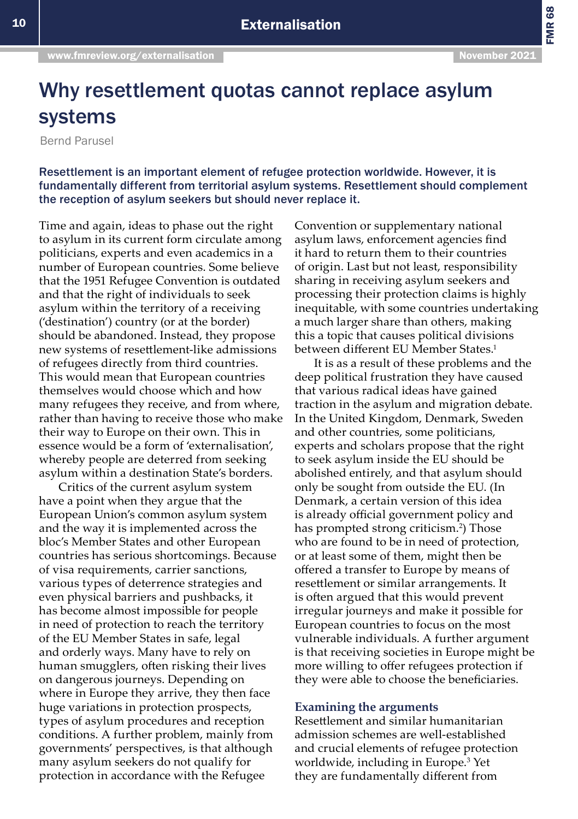FMR 68

## Why resettlement quotas cannot replace asylum systems

Bernd Parusel

Resettlement is an important element of refugee protection worldwide. However, it is fundamentally different from territorial asylum systems. Resettlement should complement the reception of asylum seekers but should never replace it.

Time and again, ideas to phase out the right to asylum in its current form circulate among politicians, experts and even academics in a number of European countries. Some believe that the 1951 Refugee Convention is outdated and that the right of individuals to seek asylum within the territory of a receiving ('destination') country (or at the border) should be abandoned. Instead, they propose new systems of resettlement-like admissions of refugees directly from third countries. This would mean that European countries themselves would choose which and how many refugees they receive, and from where, rather than having to receive those who make their way to Europe on their own. This in essence would be a form of 'externalisation', whereby people are deterred from seeking asylum within a destination State's borders.

Critics of the current asylum system have a point when they argue that the European Union's common asylum system and the way it is implemented across the bloc's Member States and other European countries has serious shortcomings. Because of visa requirements, carrier sanctions, various types of deterrence strategies and even physical barriers and pushbacks, it has become almost impossible for people in need of protection to reach the territory of the EU Member States in safe, legal and orderly ways. Many have to rely on human smugglers, often risking their lives on dangerous journeys. Depending on where in Europe they arrive, they then face huge variations in protection prospects, types of asylum procedures and reception conditions. A further problem, mainly from governments' perspectives, is that although many asylum seekers do not qualify for protection in accordance with the Refugee

Convention or supplementary national asylum laws, enforcement agencies find it hard to return them to their countries of origin. Last but not least, responsibility sharing in receiving asylum seekers and processing their protection claims is highly inequitable, with some countries undertaking a much larger share than others, making this a topic that causes political divisions between different EU Member States.<sup>1</sup>

It is as a result of these problems and the deep political frustration they have caused that various radical ideas have gained traction in the asylum and migration debate. In the United Kingdom, Denmark, Sweden and other countries, some politicians, experts and scholars propose that the right to seek asylum inside the EU should be abolished entirely, and that asylum should only be sought from outside the EU. (In Denmark, a certain version of this idea is already official government policy and has prompted strong criticism.<sup>2</sup>) Those who are found to be in need of protection, or at least some of them, might then be offered a transfer to Europe by means of resettlement or similar arrangements. It is often argued that this would prevent irregular journeys and make it possible for European countries to focus on the most vulnerable individuals. A further argument is that receiving societies in Europe might be more willing to offer refugees protection if they were able to choose the beneficiaries.

## **Examining the arguments**

Resettlement and similar humanitarian admission schemes are well-established and crucial elements of refugee protection worldwide, including in Europe.3 Yet they are fundamentally different from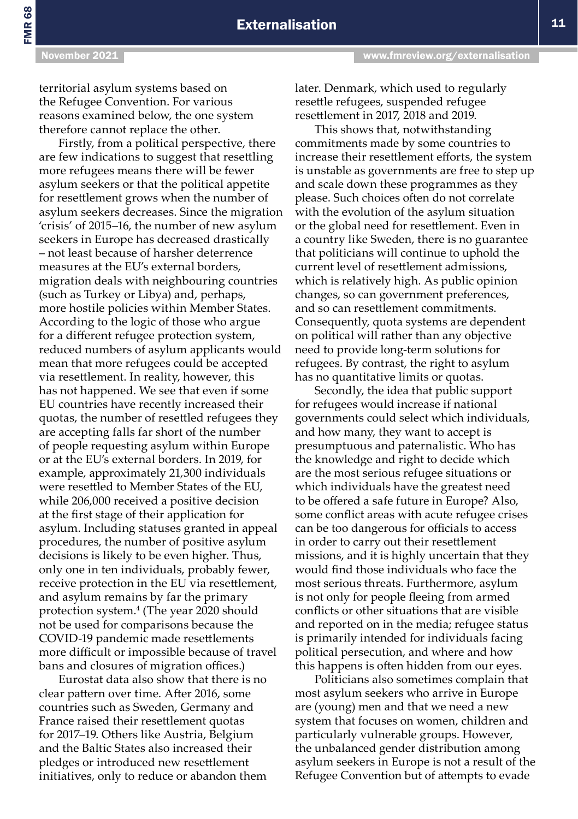FMR 68

territorial asylum systems based on the Refugee Convention. For various reasons examined below, the one system therefore cannot replace the other.

Firstly, from a political perspective, there are few indications to suggest that resettling more refugees means there will be fewer asylum seekers or that the political appetite for resettlement grows when the number of asylum seekers decreases. Since the migration 'crisis' of 2015–16, the number of new asylum seekers in Europe has decreased drastically – not least because of harsher deterrence measures at the EU's external borders, migration deals with neighbouring countries (such as Turkey or Libya) and, perhaps, more hostile policies within Member States. According to the logic of those who argue for a different refugee protection system, reduced numbers of asylum applicants would mean that more refugees could be accepted via resettlement. In reality, however, this has not happened. We see that even if some EU countries have recently increased their quotas, the number of resettled refugees they are accepting falls far short of the number of people requesting asylum within Europe or at the EU's external borders. In 2019, for example, approximately 21,300 individuals were resettled to Member States of the EU, while 206,000 received a positive decision at the first stage of their application for asylum. Including statuses granted in appeal procedures, the number of positive asylum decisions is likely to be even higher. Thus, only one in ten individuals, probably fewer, receive protection in the EU via resettlement, and asylum remains by far the primary protection system.4 (The year 2020 should not be used for comparisons because the COVID-19 pandemic made resettlements more difficult or impossible because of travel bans and closures of migration offices.)

Eurostat data also show that there is no clear pattern over time. After 2016, some countries such as Sweden, Germany and France raised their resettlement quotas for 2017–19. Others like Austria, Belgium and the Baltic States also increased their pledges or introduced new resettlement initiatives, only to reduce or abandon them later. Denmark, which used to regularly resettle refugees, suspended refugee resettlement in 2017, 2018 and 2019.

This shows that, notwithstanding commitments made by some countries to increase their resettlement efforts, the system is unstable as governments are free to step up and scale down these programmes as they please. Such choices often do not correlate with the evolution of the asylum situation or the global need for resettlement. Even in a country like Sweden, there is no guarantee that politicians will continue to uphold the current level of resettlement admissions, which is relatively high. As public opinion changes, so can government preferences, and so can resettlement commitments. Consequently, quota systems are dependent on political will rather than any objective need to provide long-term solutions for refugees. By contrast, the right to asylum has no quantitative limits or quotas.

Secondly, the idea that public support for refugees would increase if national governments could select which individuals, and how many, they want to accept is presumptuous and paternalistic. Who has the knowledge and right to decide which are the most serious refugee situations or which individuals have the greatest need to be offered a safe future in Europe? Also, some conflict areas with acute refugee crises can be too dangerous for officials to access in order to carry out their resettlement missions, and it is highly uncertain that they would find those individuals who face the most serious threats. Furthermore, asylum is not only for people fleeing from armed conflicts or other situations that are visible and reported on in the media; refugee status is primarily intended for individuals facing political persecution, and where and how this happens is often hidden from our eyes.

Politicians also sometimes complain that most asylum seekers who arrive in Europe are (young) men and that we need a new system that focuses on women, children and particularly vulnerable groups. However, the unbalanced gender distribution among asylum seekers in Europe is not a result of the Refugee Convention but of attempts to evade